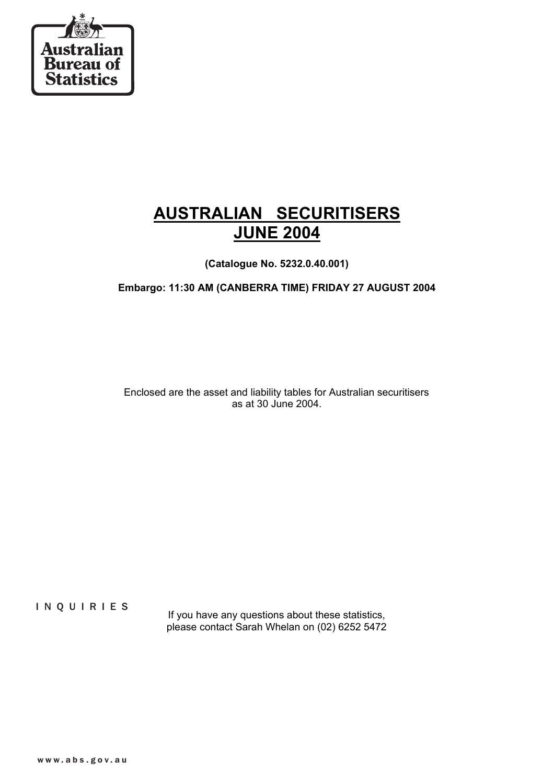

# **AUSTRALIAN SECURITISERS JUNE 2004**

**(Catalogue No. 5232.0.40.001)**

**Embargo: 11:30 AM (CANBERRA TIME) FRIDAY 27 AUGUST 2004**

Enclosed are the asset and liability tables for Australian securitisers as at 30 June 2004.

INQUIRIES

If you have any questions about these statistics, please contact Sarah Whelan on (02) 6252 5472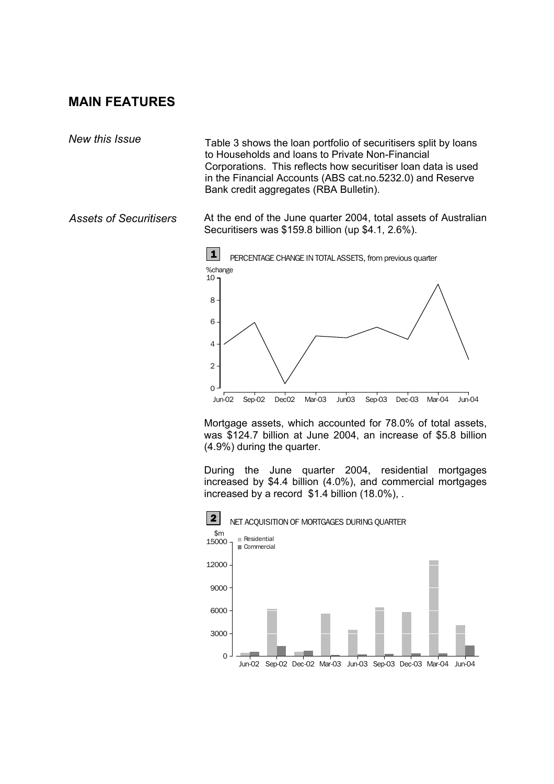# **MAIN FEATURES**

*New this Issue* Table 3 shows the loan portfolio of securitisers split by loans to Households and loans to Private Non-Financial Corporations. This reflects how securitiser loan data is used in the Financial Accounts (ABS cat.no.5232.0) and Reserve Bank credit aggregates (RBA Bulletin).

*Assets of Securitisers* At the end of the June quarter 2004, total assets of Australian Securitisers was \$159.8 billion (up \$4.1, 2.6%).



Mortgage assets, which accounted for 78.0% of total assets, was \$124.7 billion at June 2004, an increase of \$5.8 billion (4.9%) during the quarter.

During the June quarter 2004, residential mortgages increased by \$4.4 billion (4.0%), and commercial mortgages increased by a record \$1.4 billion (18.0%), .

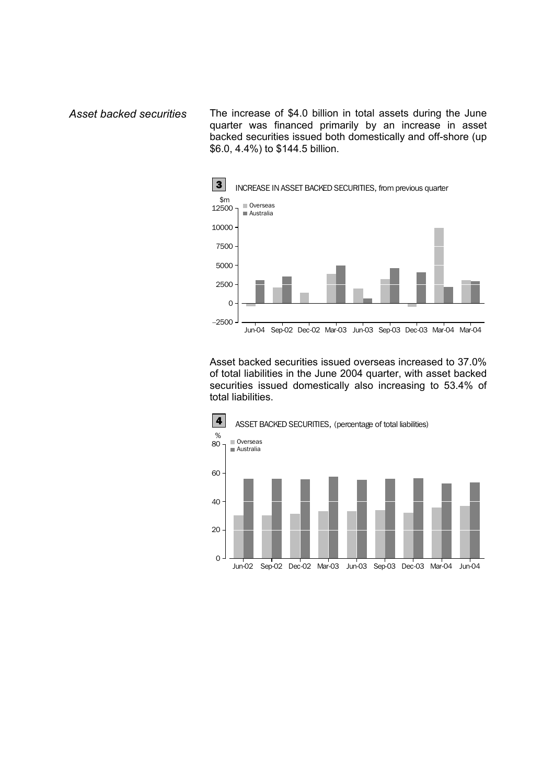*Asset backed securities* The increase of \$4.0 billion in total assets during the June quarter was financed primarily by an increase in asset backed securities issued both domestically and off-shore (up \$6.0, 4.4%) to \$144.5 billion.



Asset backed securities issued overseas increased to 37.0% of total liabilities in the June 2004 quarter, with asset backed securities issued domestically also increasing to 53.4% of total liabilities.

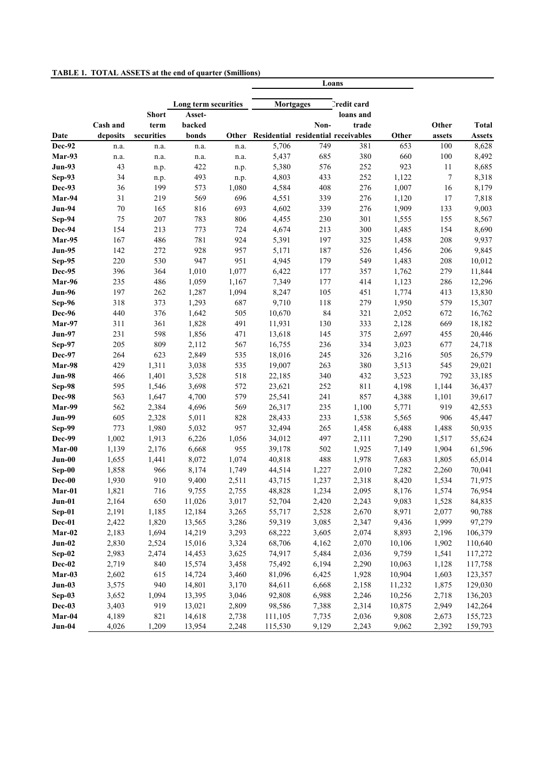| <b>TABLE 1. TOTAL ASSETS at the end of quarter (Smillions)</b> |  |  |  |
|----------------------------------------------------------------|--|--|--|
|                                                                |  |  |  |

|                         |           |              |                      |            |                                     |       | Loans              |        |        |                |
|-------------------------|-----------|--------------|----------------------|------------|-------------------------------------|-------|--------------------|--------|--------|----------------|
|                         |           |              | Long term securities |            | <b>Mortgages</b>                    |       | <b>Predit card</b> |        |        |                |
|                         |           | <b>Short</b> | Asset-               |            |                                     |       | loans and          |        |        |                |
|                         | Cash and  | term         | backed               |            |                                     | Non-  | trade              |        | Other  | <b>Total</b>   |
| Date                    | deposits  | securities   | bonds                | Other      | Residential residential receivables |       |                    | Other  | assets | <b>Assets</b>  |
| Dec-92                  | n.a.      | n.a.         | n.a.                 | n.a.       | 5,706                               | 749   | 381                | 653    | 100    | 8,628          |
| Mar-93                  | n.a.      | n.a.         | n.a.                 | n.a.       | 5,437                               | 685   | 380                | 660    | 100    | 8,492          |
| <b>Jun-93</b>           | 43        | n.p.         | 422                  | n.p.       | 5,380                               | 576   | 252                | 923    | 11     | 8,685          |
| Sep-93                  | 34        | n.p.         | 493                  | n.p.       | 4,803                               | 433   | 252                | 1,122  | $\tau$ | 8,318          |
| Dec-93                  | 36        | 199          | 573                  | 1,080      | 4,584                               | 408   | 276                | 1,007  | 16     | 8,179          |
| Mar-94<br><b>Jun-94</b> | 31        | 219          | 569                  | 696        | 4,551                               | 339   | 276                | 1,120  | 17     | 7,818          |
|                         | 70        | 165          | 816                  | 693        | 4,602                               | 339   | 276                | 1,909  | 133    | 9,003          |
| Sep-94                  | 75<br>154 | 207          | 783                  | 806<br>724 | 4,455                               | 230   | 301<br>300         | 1,555  | 155    | 8,567<br>8,690 |
| Dec-94<br>Mar-95        |           | 213          | 773<br>781           | 924        | 4,674                               | 213   |                    | 1,485  | 154    |                |
|                         | 167       | 486          |                      |            | 5,391                               | 197   | 325                | 1,458  | 208    | 9,937          |
| <b>Jun-95</b>           | 142       | 272          | 928                  | 957        | 5,171                               | 187   | 526                | 1,456  | 206    | 9,845          |
| Sep-95                  | 220       | 530          | 947                  | 951        | 4,945                               | 179   | 549                | 1,483  | 208    | 10,012         |
| Dec-95                  | 396       | 364          | 1,010                | 1,077      | 6,422                               | 177   | 357                | 1,762  | 279    | 11,844         |
| Mar-96                  | 235       | 486          | 1,059                | 1,167      | 7,349                               | 177   | 414                | 1,123  | 286    | 12,296         |
| $Jun-96$                | 197       | 262          | 1,287                | 1,094      | 8,247                               | 105   | 451                | 1,774  | 413    | 13,830         |
| Sep-96                  | 318       | 373          | 1,293                | 687        | 9,710                               | 118   | 279                | 1,950  | 579    | 15,307         |
| Dec-96                  | 440       | 376          | 1,642                | 505        | 10,670                              | 84    | 321                | 2,052  | 672    | 16,762         |
| Mar-97                  | 311       | 361          | 1,828                | 491        | 11,931                              | 130   | 333                | 2,128  | 669    | 18,182         |
| <b>Jun-97</b>           | 231       | 598          | 1,856                | 471        | 13,618                              | 145   | 375                | 2,697  | 455    | 20,446         |
| Sep-97                  | 205       | 809          | 2,112                | 567        | 16,755                              | 236   | 334                | 3,023  | 677    | 24,718         |
| Dec-97                  | 264       | 623          | 2,849                | 535        | 18,016                              | 245   | 326                | 3,216  | 505    | 26,579         |
| Mar-98                  | 429       | 1,311        | 3,038                | 535        | 19,007                              | 263   | 380                | 3,513  | 545    | 29,021         |
| <b>Jun-98</b>           | 466       | 1,401        | 3,528                | 518        | 22,185                              | 340   | 432                | 3,523  | 792    | 33,185         |
| Sep-98                  | 595       | 1,546        | 3,698                | 572        | 23,621                              | 252   | 811                | 4,198  | 1,144  | 36,437         |
| Dec-98                  | 563       | 1,647        | 4,700                | 579        | 25,541                              | 241   | 857                | 4,388  | 1,101  | 39,617         |
| Mar-99                  | 562       | 2,384        | 4,696                | 569        | 26,317                              | 235   | 1,100              | 5,771  | 919    | 42,553         |
| <b>Jun-99</b>           | 605       | 2,328        | 5,011                | 828        | 28,433                              | 233   | 1,538              | 5,565  | 906    | 45,447         |
| Sep-99                  | 773       | 1,980        | 5,032                | 957        | 32,494                              | 265   | 1,458              | 6,488  | 1,488  | 50,935         |
| Dec-99                  | 1,002     | 1,913        | 6,226                | 1,056      | 34,012                              | 497   | 2,111              | 7,290  | 1,517  | 55,624         |
| $Mar-00$                | 1,139     | 2,176        | 6,668                | 955        | 39,178                              | 502   | 1,925              | 7,149  | 1,904  | 61,596         |
| Jun-00                  | 1,655     | 1,441        | 8,072                | 1,074      | 40,818                              | 488   | 1,978              | 7,683  | 1,805  | 65,014         |
| Sep-00                  | 1,858     | 966          | 8,174                | 1,749      | 44,514                              | 1,227 | 2,010              | 7,282  | 2,260  | 70,041         |
| Dec-00                  | 1,930     | 910          | 9,400                | 2,511      | 43,715                              | 1,237 | 2,318              | 8,420  | 1,534  | 71,975         |
| Mar-01                  | 1,821     | 716          | 9,755                | 2,755      | 48,828                              | 1,234 | 2,095              | 8,176  | 1,574  | 76,954         |
| $Jun-01$                | 2,164     | 650          | 11,026               | 3,017      | 52,704                              | 2,420 | 2,243              | 9,083  | 1,528  | 84,835         |
| $Sep-01$                | 2,191     | 1,185        | 12,184               | 3,265      | 55,717                              | 2,528 | 2,670              | 8,971  | 2,077  | 90,788         |
| Dec-01                  | 2,422     | 1,820        | 13,565               | 3,286      | 59,319                              | 3,085 | 2,347              | 9,436  | 1,999  | 97,279         |
| $Mar-02$                | 2,183     | 1,694        | 14,219               | 3,293      | 68,222                              | 3,605 | 2,074              | 8,893  | 2,196  | 106,379        |
| $Jun-02$                | 2,830     | 2,524        | 15,016               | 3,324      | 68,706                              | 4,162 | 2,070              | 10,106 | 1,902  | 110,640        |
| $Sep-02$                | 2,983     | 2,474        | 14,453               | 3,625      | 74,917                              | 5,484 | 2,036              | 9,759  | 1,541  | 117,272        |
| Dec-02                  | 2,719     | 840          | 15,574               | 3,458      | 75,492                              | 6,194 | 2,290              | 10,063 | 1,128  | 117,758        |
| Mar-03                  | 2,602     | 615          | 14,724               | 3,460      | 81,096                              | 6,425 | 1,928              | 10,904 | 1,603  | 123,357        |
| $Jun-03$                | 3,575     | 940          | 14,801               | 3,170      | 84,611                              | 6,668 | 2,158              | 11,232 | 1,875  | 129,030        |
| $Sep-03$                | 3,652     | 1,094        | 13,395               | 3,046      | 92,808                              | 6,988 | 2,246              | 10,256 | 2,718  | 136,203        |
| Dec-03                  | 3,403     | 919          | 13,021               | 2,809      | 98,586                              | 7,388 | 2,314              | 10,875 | 2,949  | 142,264        |
| Mar-04                  | 4,189     | 821          | 14,618               | 2,738      | 111,105                             | 7,735 | 2,036              | 9,808  | 2,673  | 155,723        |
| $Jun-04$                | 4,026     | 1,209        | 13,954               | 2,248      | 115,530                             | 9,129 | 2,243              | 9,062  | 2,392  | 159,793        |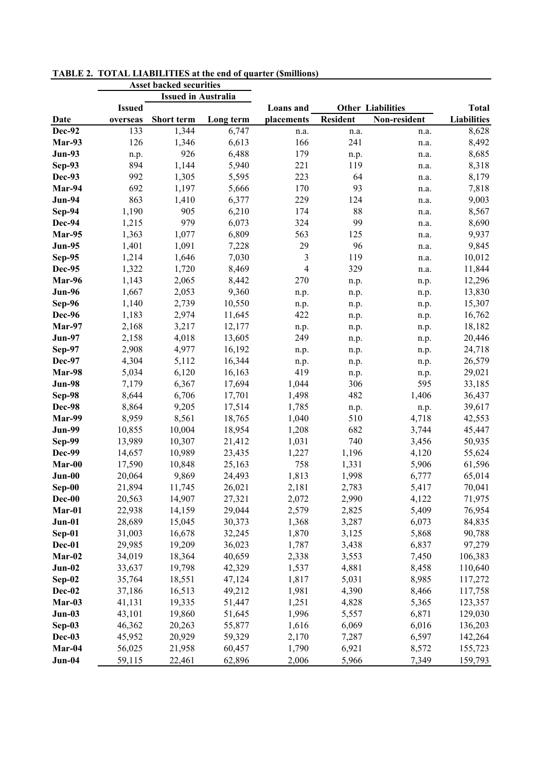|               | <b>Asset backed securities</b> |                   |           |                |          |                          |                    |
|---------------|--------------------------------|-------------------|-----------|----------------|----------|--------------------------|--------------------|
|               | <b>Issued in Australia</b>     |                   |           |                |          |                          |                    |
|               | <b>Issued</b>                  |                   |           | Loans and      |          | <b>Other Liabilities</b> | <b>Total</b>       |
| Date          | overseas                       | <b>Short term</b> | Long term | placements     | Resident | Non-resident             | <b>Liabilities</b> |
| Dec-92        | 133                            | 1,344             | 6,747     | n.a.           | n.a.     | n.a.                     | 8,628              |
| Mar-93        | 126                            | 1,346             | 6,613     | 166            | 241      | n.a.                     | 8,492              |
| <b>Jun-93</b> | n.p.                           | 926               | 6,488     | 179            | n.p.     | n.a.                     | 8,685              |
| Sep-93        | 894                            | 1,144             | 5,940     | 221            | 119      | n.a.                     | 8,318              |
| Dec-93        | 992                            | 1,305             | 5,595     | 223            | 64       | n.a.                     | 8,179              |
| Mar-94        | 692                            | 1,197             | 5,666     | 170            | 93       | n.a.                     | 7,818              |
| <b>Jun-94</b> | 863                            | 1,410             | 6,377     | 229            | 124      | n.a.                     | 9,003              |
| Sep-94        | 1,190                          | 905               | 6,210     | 174            | 88       | n.a.                     | 8,567              |
| Dec-94        | 1,215                          | 979               | 6,073     | 324            | 99       | n.a.                     | 8,690              |
| Mar-95        | 1,363                          | 1,077             | 6,809     | 563            | 125      | n.a.                     | 9,937              |
| <b>Jun-95</b> | 1,401                          | 1,091             | 7,228     | 29             | 96       | n.a.                     | 9,845              |
| Sep-95        | 1,214                          | 1,646             | 7,030     | 3              | 119      | n.a.                     | 10,012             |
| Dec-95        | 1,322                          | 1,720             | 8,469     | $\overline{4}$ | 329      | n.a.                     | 11,844             |
| Mar-96        | 1,143                          | 2,065             | 8,442     | 270            | n.p.     | n.p.                     | 12,296             |
| Jun-96        | 1,667                          | 2,053             | 9,360     | n.p.           | n.p.     | n.p.                     | 13,830             |
| Sep-96        | 1,140                          | 2,739             | 10,550    | n.p.           | n.p.     | n.p.                     | 15,307             |
| Dec-96        | 1,183                          | 2,974             | 11,645    | 422            | n.p.     | n.p.                     | 16,762             |
| Mar-97        | 2,168                          | 3,217             | 12,177    | n.p.           | n.p.     | n.p.                     | 18,182             |
| <b>Jun-97</b> | 2,158                          | 4,018             | 13,605    | 249            | n.p.     | n.p.                     | 20,446             |
| Sep-97        | 2,908                          | 4,977             | 16,192    | n.p.           | n.p.     | n.p.                     | 24,718             |
| Dec-97        | 4,304                          | 5,112             | 16,344    | n.p.           | n.p.     | n.p.                     | 26,579             |
| Mar-98        | 5,034                          | 6,120             | 16,163    | 419            | n.p.     | n.p.                     | 29,021             |
| <b>Jun-98</b> | 7,179                          | 6,367             | 17,694    | 1,044          | 306      | 595                      | 33,185             |
| Sep-98        | 8,644                          | 6,706             | 17,701    | 1,498          | 482      | 1,406                    | 36,437             |
| Dec-98        | 8,864                          | 9,205             | 17,514    | 1,785          | n.p.     | n.p.                     | 39,617             |
| Mar-99        | 8,959                          | 8,561             | 18,765    | 1,040          | 510      | 4,718                    | 42,553             |
| <b>Jun-99</b> | 10,855                         | 10,004            | 18,954    | 1,208          | 682      | 3,744                    | 45,447             |
| Sep-99        | 13,989                         | 10,307            | 21,412    | 1,031          | 740      | 3,456                    | 50,935             |
| Dec-99        | 14,657                         | 10,989            | 23,435    | 1,227          | 1,196    | 4,120                    | 55,624             |
| Mar-00        | 17,590                         | 10,848            | 25,163    | 758            | 1,331    | 5,906                    | 61,596             |
| Jun-00        | 20,064                         | 9,869             | 24,493    | 1,813          | 1,998    | 6,777                    | 65,014             |
| Sep-00        | 21,894                         | 11,745            | 26,021    | 2,181          | 2,783    | 5,417                    | 70,041             |
| $Dec-00$      | 20,563                         | 14,907            | 27,321    | 2,072          | 2,990    | 4,122                    | 71,975             |
| Mar-01        | 22,938                         | 14,159            | 29,044    | 2,579          | 2,825    | 5,409                    | 76,954             |
| Jun-01        | 28,689                         | 15,045            | 30,373    | 1,368          | 3,287    | 6,073                    | 84,835             |
| Sep-01        | 31,003                         | 16,678            | 32,245    | 1,870          | 3,125    | 5,868                    | 90,788             |
| Dec-01        | 29,985                         | 19,209            | 36,023    | 1,787          | 3,438    | 6,837                    | 97,279             |
| Mar-02        | 34,019                         | 18,364            | 40,659    | 2,338          | 3,553    | 7,450                    | 106,383            |
| $Jun-02$      | 33,637                         | 19,798            | 42,329    | 1,537          | 4,881    | 8,458                    | 110,640            |
| $Sep-02$      | 35,764                         | 18,551            | 47,124    | 1,817          | 5,031    | 8,985                    | 117,272            |
| $Dec-02$      | 37,186                         | 16,513            | 49,212    | 1,981          | 4,390    | 8,466                    | 117,758            |
| Mar-03        | 41,131                         | 19,335            | 51,447    | 1,251          | 4,828    | 5,365                    | 123,357            |
| $Jun-03$      | 43,101                         | 19,860            | 51,645    | 1,996          | 5,557    | 6,871                    | 129,030            |
| $Sep-03$      | 46,362                         | 20,263            | 55,877    | 1,616          | 6,069    | 6,016                    | 136,203            |
| Dec-03        | 45,952                         | 20,929            | 59,329    | 2,170          | 7,287    | 6,597                    | 142,264            |
| Mar-04        | 56,025                         | 21,958            | 60,457    | 1,790          | 6,921    | 8,572                    | 155,723            |
| Jun-04        | 59,115                         | 22,461            | 62,896    | 2,006          | 5,966    | 7,349                    | 159,793            |
|               |                                |                   |           |                |          |                          |                    |

**TABLE 2. TOTAL LIABILITIES at the end of quarter (\$millions)**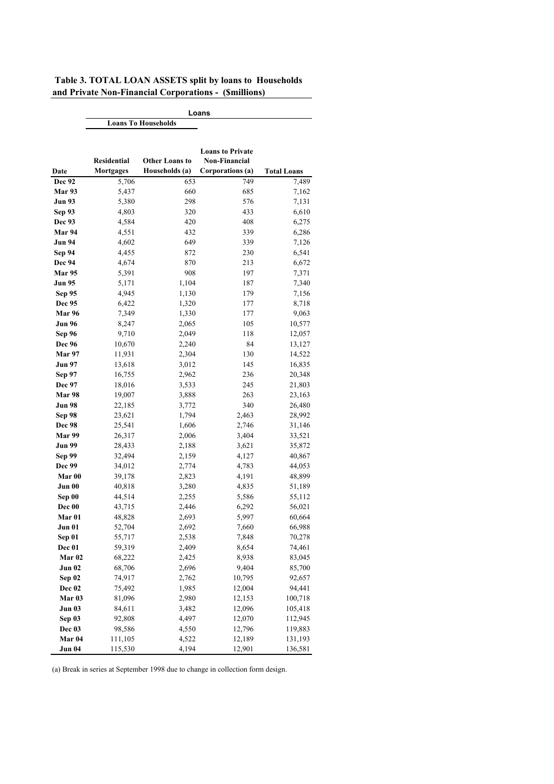| Table 3. TOTAL LOAN ASSETS split by loans to Households |  |
|---------------------------------------------------------|--|
| and Private Non-Financial Corporations - (Smillions)    |  |

|                   | Loans                      |                       |                         |                    |  |  |  |
|-------------------|----------------------------|-----------------------|-------------------------|--------------------|--|--|--|
|                   | <b>Loans To Households</b> |                       |                         |                    |  |  |  |
|                   |                            |                       | <b>Loans to Private</b> |                    |  |  |  |
|                   | <b>Residential</b>         | <b>Other Loans to</b> | <b>Non-Financial</b>    |                    |  |  |  |
| Date              | <b>Mortgages</b>           | Households (a)        | Corporations (a)        | <b>Total Loans</b> |  |  |  |
| Dec 92            | 5,706                      | 653                   | 749                     | 7,489              |  |  |  |
| Mar 93            | 5,437                      | 660                   | 685                     | 7,162              |  |  |  |
| Jun 93            | 5,380                      | 298                   | 576                     | 7,131              |  |  |  |
| <b>Sep 93</b>     | 4,803                      | 320                   | 433                     | 6,610              |  |  |  |
| Dec 93            | 4,584                      | 420                   | 408                     | 6,275              |  |  |  |
| Mar 94            | 4,551                      | 432                   | 339                     | 6,286              |  |  |  |
| <b>Jun 94</b>     | 4,602                      | 649                   | 339                     | 7,126              |  |  |  |
| <b>Sep 94</b>     | 4,455                      | 872                   | 230                     | 6,541              |  |  |  |
| <b>Dec 94</b>     | 4,674                      | 870                   | 213                     | 6,672              |  |  |  |
| <b>Mar 95</b>     | 5,391                      | 908                   | 197                     | 7,371              |  |  |  |
| Jun 95            | 5,171                      | 1,104                 | 187                     | 7,340              |  |  |  |
| Sep 95            | 4,945                      | 1,130                 | 179                     | 7,156              |  |  |  |
| Dec 95            | 6,422                      | 1,320                 | 177                     | 8,718              |  |  |  |
| <b>Mar 96</b>     | 7,349                      | 1,330                 | 177                     | 9,063              |  |  |  |
| Jun 96            | 8,247                      | 2,065                 | 105                     | 10,577             |  |  |  |
| Sep 96            | 9,710                      | 2,049                 | 118                     | 12,057             |  |  |  |
| <b>Dec 96</b>     | 10,670                     | 2,240                 | 84                      | 13,127             |  |  |  |
| Mar 97            | 11,931                     | 2,304                 | 130                     | 14,522             |  |  |  |
| Jun 97            | 13,618                     | 3,012                 | 145                     | 16,835             |  |  |  |
| <b>Sep 97</b>     | 16,755                     | 2,962                 | 236                     | 20,348             |  |  |  |
| <b>Dec 97</b>     | 18,016                     | 3,533                 | 245                     | 21,803             |  |  |  |
| <b>Mar 98</b>     | 19,007                     | 3,888                 | 263                     | 23,163             |  |  |  |
| Jun 98            | 22,185                     | 3,772                 | 340                     | 26,480             |  |  |  |
| Sep 98            | 23,621                     | 1,794                 | 2,463                   | 28,992             |  |  |  |
| <b>Dec 98</b>     | 25,541                     | 1,606                 | 2,746                   | 31,146             |  |  |  |
| Mar 99            | 26,317                     | 2,006                 | 3,404                   | 33,521             |  |  |  |
| Jun 99            | 28,433                     | 2,188                 | 3,621                   | 35,872             |  |  |  |
| <b>Sep 99</b>     | 32,494                     | 2,159                 | 4,127                   | 40,867             |  |  |  |
| Dec 99            | 34,012                     | 2,774                 | 4,783                   | 44,053             |  |  |  |
| Mar 00            | 39,178                     | 2,823                 | 4,191                   | 48,899             |  |  |  |
| Jun 00            | 40,818                     | 3,280                 | 4,835                   | 51,189             |  |  |  |
| Sep 00            | 44,514                     | 2,255                 | 5,586                   | 55,112             |  |  |  |
| Dec 00            | 43,715                     | 2,446                 | 6,292                   | 56,021             |  |  |  |
| Mar 01            | 48,828                     | 2,693                 | 5,997                   | 60,664             |  |  |  |
| <b>Jun 01</b>     | 52,704                     | 2,692                 | 7,660                   | 66,988             |  |  |  |
| Sep 01            | 55,717                     | 2,538                 | 7,848                   | 70,278             |  |  |  |
| Dec 01            | 59,319                     | 2,409                 | 8,654                   | 74,461             |  |  |  |
| Mar <sub>02</sub> | 68,222                     | 2,425                 | 8,938                   | 83,045             |  |  |  |
| <b>Jun 02</b>     | 68,706                     | 2,696                 | 9,404                   | 85,700             |  |  |  |
| Sep 02            | 74,917                     | 2,762                 | 10,795                  | 92,657             |  |  |  |
| Dec 02            | 75,492                     | 1,985                 | 12,004                  | 94,441             |  |  |  |
| Mar <sub>03</sub> | 81,096                     | 2,980                 | 12,153                  | 100,718            |  |  |  |
| <b>Jun 03</b>     | 84,611                     | 3,482                 | 12,096                  | 105,418            |  |  |  |
| Sep 03            | 92,808                     | 4,497                 | 12,070                  | 112,945            |  |  |  |
| Dec 03            | 98,586                     | 4,550                 | 12,796                  | 119,883            |  |  |  |
| Mar 04            | 111,105                    | 4,522                 | 12,189                  | 131,193            |  |  |  |
| <b>Jun 04</b>     | 115,530                    | 4,194                 | 12,901                  | 136,581            |  |  |  |

(a) Break in series at September 1998 due to change in collection form design.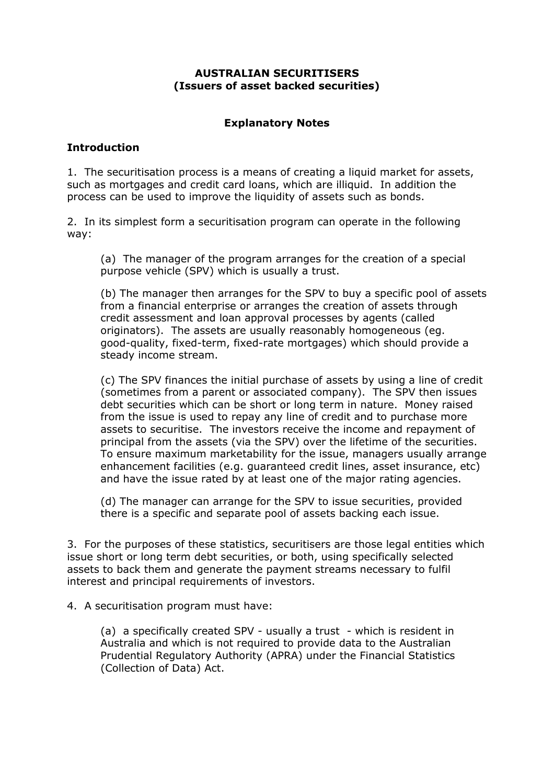### **AUSTRALIAN SECURITISERS (Issuers of asset backed securities)**

## **Explanatory Notes**

## **Introduction**

1. The securitisation process is a means of creating a liquid market for assets, such as mortgages and credit card loans, which are illiquid. In addition the process can be used to improve the liquidity of assets such as bonds.

2. In its simplest form a securitisation program can operate in the following way:

(a) The manager of the program arranges for the creation of a special purpose vehicle (SPV) which is usually a trust.

(b) The manager then arranges for the SPV to buy a specific pool of assets from a financial enterprise or arranges the creation of assets through credit assessment and loan approval processes by agents (called originators). The assets are usually reasonably homogeneous (eg. good-quality, fixed-term, fixed-rate mortgages) which should provide a steady income stream.

(c) The SPV finances the initial purchase of assets by using a line of credit (sometimes from a parent or associated company). The SPV then issues debt securities which can be short or long term in nature. Money raised from the issue is used to repay any line of credit and to purchase more assets to securitise. The investors receive the income and repayment of principal from the assets (via the SPV) over the lifetime of the securities. To ensure maximum marketability for the issue, managers usually arrange enhancement facilities (e.g. guaranteed credit lines, asset insurance, etc) and have the issue rated by at least one of the major rating agencies.

(d) The manager can arrange for the SPV to issue securities, provided there is a specific and separate pool of assets backing each issue.

3. For the purposes of these statistics, securitisers are those legal entities which issue short or long term debt securities, or both, using specifically selected assets to back them and generate the payment streams necessary to fulfil interest and principal requirements of investors.

4. A securitisation program must have:

(a) a specifically created SPV - usually a trust - which is resident in Australia and which is not required to provide data to the Australian Prudential Regulatory Authority (APRA) under the Financial Statistics (Collection of Data) Act.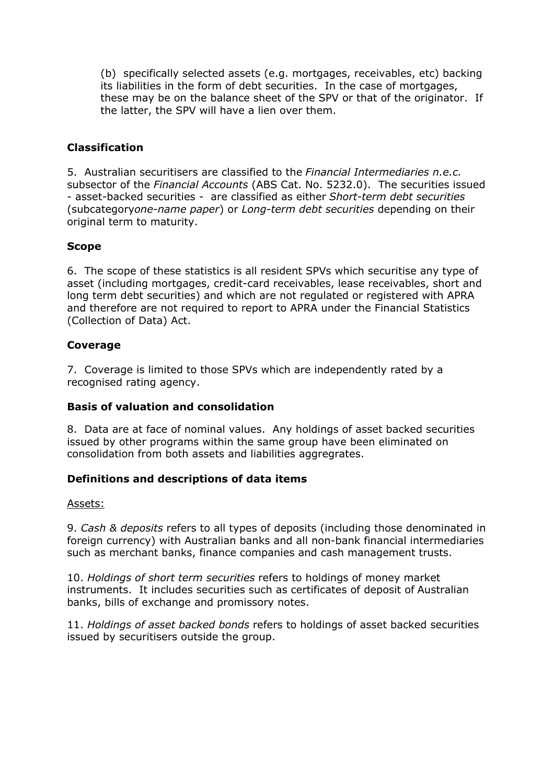(b) specifically selected assets (e.g. mortgages, receivables, etc) backing its liabilities in the form of debt securities. In the case of mortgages, these may be on the balance sheet of the SPV or that of the originator. If the latter, the SPV will have a lien over them.

## **Classification**

5. Australian securitisers are classified to the *Financial Intermediaries n.e.c.*  subsector of the *Financial Accounts* (ABS Cat. No. 5232.0). The securities issued - asset-backed securities - are classified as either *Short-term debt securities* (subcategory*one-name paper*) or *Long-term debt securities* depending on their original term to maturity.

## **Scope**

6. The scope of these statistics is all resident SPVs which securitise any type of asset (including mortgages, credit-card receivables, lease receivables, short and long term debt securities) and which are not regulated or registered with APRA and therefore are not required to report to APRA under the Financial Statistics (Collection of Data) Act.

## **Coverage**

7. Coverage is limited to those SPVs which are independently rated by a recognised rating agency.

## **Basis of valuation and consolidation**

8. Data are at face of nominal values. Any holdings of asset backed securities issued by other programs within the same group have been eliminated on consolidation from both assets and liabilities aggregrates.

## **Definitions and descriptions of data items**

#### Assets:

9. *Cash & deposits* refers to all types of deposits (including those denominated in foreign currency) with Australian banks and all non-bank financial intermediaries such as merchant banks, finance companies and cash management trusts.

10. *Holdings of short term securities* refers to holdings of money market instruments. It includes securities such as certificates of deposit of Australian banks, bills of exchange and promissory notes.

11. *Holdings of asset backed bonds* refers to holdings of asset backed securities issued by securitisers outside the group.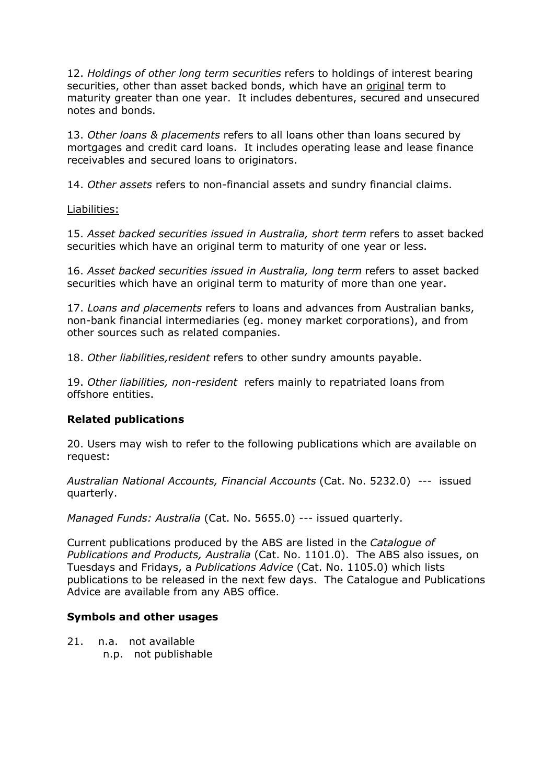12. *Holdings of other long term securities* refers to holdings of interest bearing securities, other than asset backed bonds, which have an original term to maturity greater than one year. It includes debentures, secured and unsecured notes and bonds.

13. *Other loans & placements* refers to all loans other than loans secured by mortgages and credit card loans. It includes operating lease and lease finance receivables and secured loans to originators.

14. *Other assets* refers to non-financial assets and sundry financial claims.

#### Liabilities:

15. *Asset backed securities issued in Australia, short term* refers to asset backed securities which have an original term to maturity of one year or less.

16. *Asset backed securities issued in Australia, long term* refers to asset backed securities which have an original term to maturity of more than one year.

17. *Loans and placements* refers to loans and advances from Australian banks, non-bank financial intermediaries (eg. money market corporations), and from other sources such as related companies.

18. *Other liabilities,resident* refers to other sundry amounts payable.

19. *Other liabilities, non-resident* refers mainly to repatriated loans from offshore entities.

#### **Related publications**

20. Users may wish to refer to the following publications which are available on request:

*Australian National Accounts, Financial Accounts* (Cat. No. 5232.0) --- issued quarterly.

*Managed Funds: Australia* (Cat. No. 5655.0) --- issued quarterly.

Current publications produced by the ABS are listed in the *Catalogue of Publications and Products, Australia* (Cat. No. 1101.0). The ABS also issues, on Tuesdays and Fridays, a *Publications Advice* (Cat. No. 1105.0) which lists publications to be released in the next few days. The Catalogue and Publications Advice are available from any ABS office.

#### **Symbols and other usages**

21. n.a. not available n.p. not publishable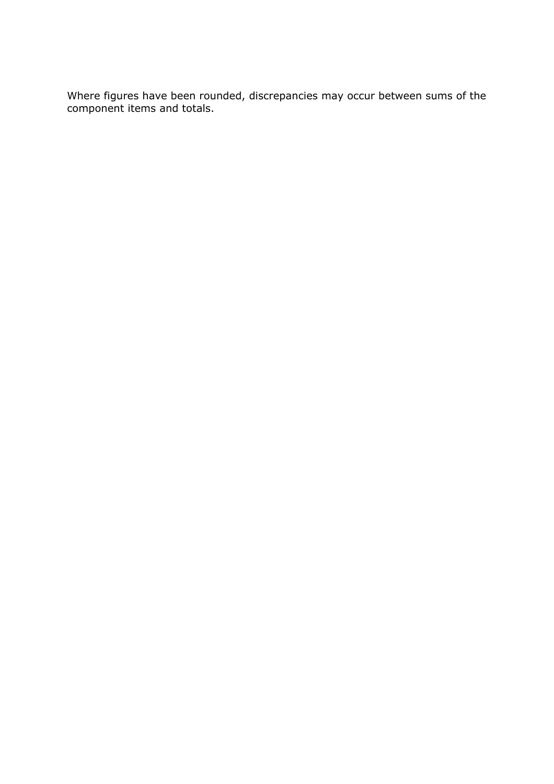Where figures have been rounded, discrepancies may occur between sums of the component items and totals.